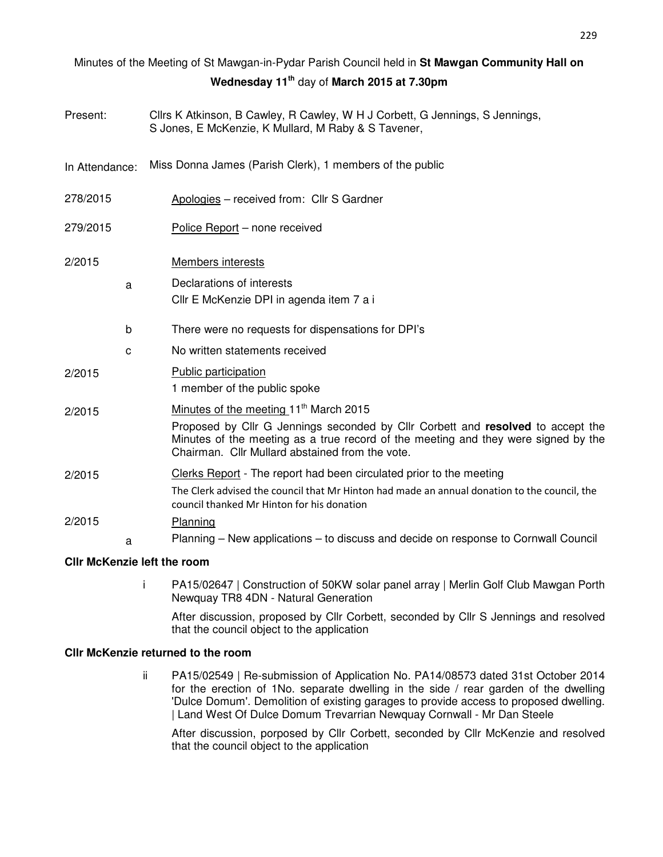|                |   | Minutes of the Meeting of St Mawgan-in-Pydar Parish Council held in St Mawgan Community Hall on                                                                                                                                                                                |  |  |
|----------------|---|--------------------------------------------------------------------------------------------------------------------------------------------------------------------------------------------------------------------------------------------------------------------------------|--|--|
|                |   | Wednesday 11 <sup>th</sup> day of March 2015 at 7.30pm                                                                                                                                                                                                                         |  |  |
| Present:       |   | Cllrs K Atkinson, B Cawley, R Cawley, W H J Corbett, G Jennings, S Jennings,<br>S Jones, E McKenzie, K Mullard, M Raby & S Tavener,                                                                                                                                            |  |  |
| In Attendance: |   | Miss Donna James (Parish Clerk), 1 members of the public                                                                                                                                                                                                                       |  |  |
| 278/2015       |   | Apologies - received from: Cllr S Gardner                                                                                                                                                                                                                                      |  |  |
| 279/2015       |   | Police Report - none received                                                                                                                                                                                                                                                  |  |  |
| 2/2015         |   | Members interests                                                                                                                                                                                                                                                              |  |  |
|                | a | Declarations of interests<br>Cllr E McKenzie DPI in agenda item 7 a i                                                                                                                                                                                                          |  |  |
|                | b | There were no requests for dispensations for DPI's                                                                                                                                                                                                                             |  |  |
|                | C | No written statements received                                                                                                                                                                                                                                                 |  |  |
| 2/2015         |   | Public participation<br>1 member of the public spoke                                                                                                                                                                                                                           |  |  |
| 2/2015         |   | Minutes of the meeting 11 <sup>th</sup> March 2015<br>Proposed by Cllr G Jennings seconded by Cllr Corbett and resolved to accept the<br>Minutes of the meeting as a true record of the meeting and they were signed by the<br>Chairman. Cllr Mullard abstained from the vote. |  |  |
| 2/2015         |   | Clerks Report - The report had been circulated prior to the meeting<br>The Clerk advised the council that Mr Hinton had made an annual donation to the council, the<br>council thanked Mr Hinton for his donation                                                              |  |  |
| 2/2015         | a | Planning<br>Planning - New applications - to discuss and decide on response to Cornwall Council                                                                                                                                                                                |  |  |

## **Cllr McKenzie left the room**

i PA15/02647 | Construction of 50KW solar panel array | Merlin Golf Club Mawgan Porth Newquay TR8 4DN - Natural Generation

After discussion, proposed by Cllr Corbett, seconded by Cllr S Jennings and resolved that the council object to the application

#### **Cllr McKenzie returned to the room**

ii PA15/02549 | Re-submission of Application No. PA14/08573 dated 31st October 2014 for the erection of 1No. separate dwelling in the side / rear garden of the dwelling 'Dulce Domum'. Demolition of existing garages to provide access to proposed dwelling. | Land West Of Dulce Domum Trevarrian Newquay Cornwall - Mr Dan Steele

After discussion, porposed by Cllr Corbett, seconded by Cllr McKenzie and resolved that the council object to the application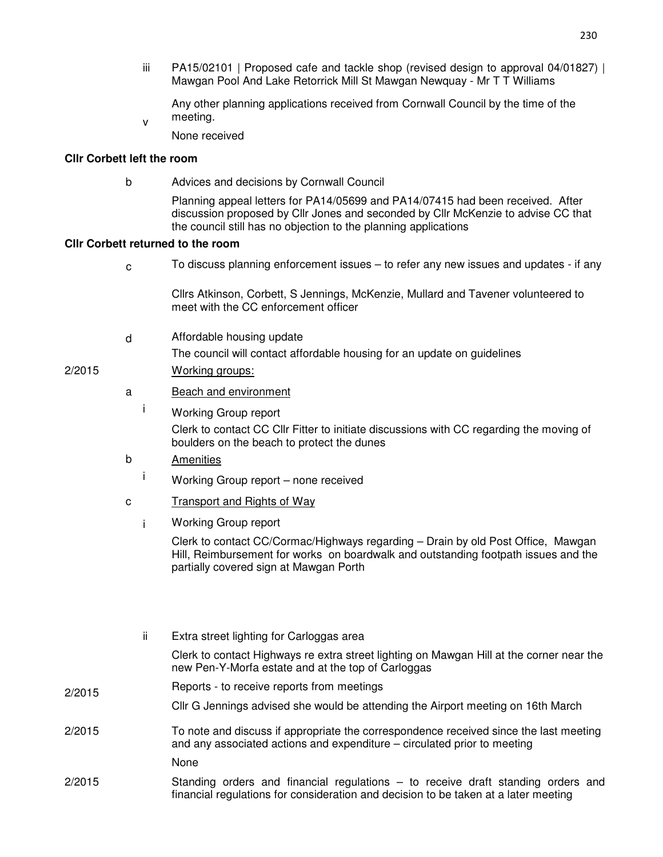iii PA15/02101 | Proposed cafe and tackle shop (revised design to approval 04/01827) | Mawgan Pool And Lake Retorrick Mill St Mawgan Newquay - Mr T T Williams

Any other planning applications received from Cornwall Council by the time of the meeting.

version and the state of the state of the state of the state of the state of the state of the state of the state of the state of the state of the state of the state of the state of the state of the state of the state of th None received

## **Cllr Corbett left the room**

b Advices and decisions by Cornwall Council

Planning appeal letters for PA14/05699 and PA14/07415 had been received. After discussion proposed by Cllr Jones and seconded by Cllr McKenzie to advise CC that the council still has no objection to the planning applications

#### **Cllr Corbett returned to the room**

 $\rm{c}$  To discuss planning enforcement issues – to refer any new issues and updates - if any

Cllrs Atkinson, Corbett, S Jennings, McKenzie, Mullard and Tavener volunteered to meet with the CC enforcement officer

d Affordable housing update

The council will contact affordable housing for an update on guidelines

# 2/2015 Working groups:

- a Beach and environment
	- i Working Group report Clerk to contact CC Cllr Fitter to initiate discussions with CC regarding the moving of boulders on the beach to protect the dunes
- b Amenities
	- i Working Group report none received
- c Transport and Rights of Way
	- i Working Group report

Clerk to contact CC/Cormac/Highways regarding – Drain by old Post Office, Mawgan Hill, Reimbursement for works on boardwalk and outstanding footpath issues and the partially covered sign at Mawgan Porth

ii Extra street lighting for Carloggas area Clerk to contact Highways re extra street lighting on Mawgan Hill at the corner near the new Pen-Y-Morfa estate and at the top of Carloggas 2/2015 Reports - to receive reports from meetings Cllr G Jennings advised she would be attending the Airport meeting on 16th March 2/2015 To note and discuss if appropriate the correspondence received since the last meeting and any associated actions and expenditure – circulated prior to meeting None 2/2015 Standing orders and financial regulations – to receive draft standing orders and financial regulations for consideration and decision to be taken at a later meeting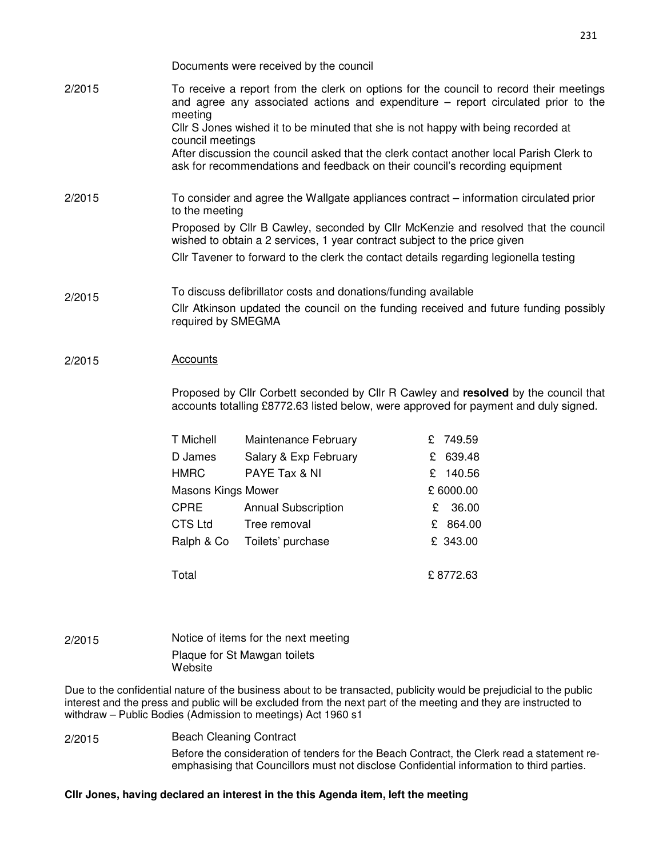|        |                                                                                                                                                                                            | Documents were received by the council |          |  |  |
|--------|--------------------------------------------------------------------------------------------------------------------------------------------------------------------------------------------|----------------------------------------|----------|--|--|
| 2/2015 | To receive a report from the clerk on options for the council to record their meetings<br>and agree any associated actions and expenditure - report circulated prior to the<br>meeting     |                                        |          |  |  |
|        | Cllr S Jones wished it to be minuted that she is not happy with being recorded at                                                                                                          |                                        |          |  |  |
|        | council meetings<br>After discussion the council asked that the clerk contact another local Parish Clerk to<br>ask for recommendations and feedback on their council's recording equipment |                                        |          |  |  |
| 2/2015 | To consider and agree the Wallgate appliances contract – information circulated prior<br>to the meeting                                                                                    |                                        |          |  |  |
|        | Proposed by Cllr B Cawley, seconded by Cllr McKenzie and resolved that the council<br>wished to obtain a 2 services, 1 year contract subject to the price given                            |                                        |          |  |  |
|        | CIIr Tavener to forward to the clerk the contact details regarding legionella testing                                                                                                      |                                        |          |  |  |
| 2/2015 | To discuss defibrillator costs and donations/funding available                                                                                                                             |                                        |          |  |  |
|        | Cllr Atkinson updated the council on the funding received and future funding possibly<br>required by SMEGMA                                                                                |                                        |          |  |  |
| 2/2015 | <b>Accounts</b>                                                                                                                                                                            |                                        |          |  |  |
|        | Proposed by Cllr Corbett seconded by Cllr R Cawley and resolved by the council that<br>accounts totalling £8772.63 listed below, were approved for payment and duly signed.                |                                        |          |  |  |
|        | T Michell                                                                                                                                                                                  | Maintenance February                   | £ 749.59 |  |  |
|        | D James                                                                                                                                                                                    | Salary & Exp February                  | £ 639.48 |  |  |
|        | <b>HMRC</b>                                                                                                                                                                                | PAYE Tax & NI                          | £ 140.56 |  |  |
|        | <b>Masons Kings Mower</b>                                                                                                                                                                  |                                        | £6000.00 |  |  |
|        | <b>CPRE</b>                                                                                                                                                                                | <b>Annual Subscription</b>             | £ 36.00  |  |  |
|        | CTS Ltd                                                                                                                                                                                    | Tree removal                           | £ 864.00 |  |  |
|        | Ralph & Co                                                                                                                                                                                 | Toilets' purchase                      | £ 343.00 |  |  |
|        | Total                                                                                                                                                                                      |                                        | £8772.63 |  |  |
|        |                                                                                                                                                                                            |                                        |          |  |  |
|        |                                                                                                                                                                                            |                                        |          |  |  |

2/2015 Notice of items for the next meeting Plaque for St Mawgan toilets **Website** 

Due to the confidential nature of the business about to be transacted, publicity would be prejudicial to the public interest and the press and public will be excluded from the next part of the meeting and they are instructed to withdraw – Public Bodies (Admission to meetings) Act 1960 s1

2/2015 Beach Cleaning Contract

Before the consideration of tenders for the Beach Contract, the Clerk read a statement reemphasising that Councillors must not disclose Confidential information to third parties.

#### **Cllr Jones, having declared an interest in the this Agenda item, left the meeting**